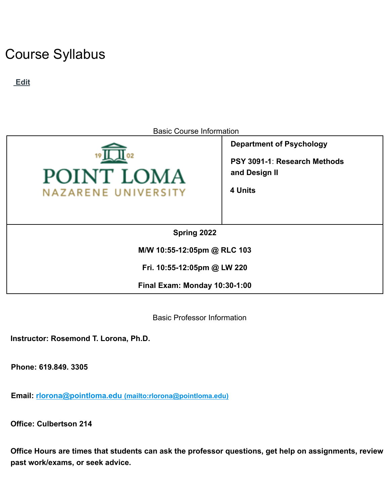# Course Syllabus

**Edit**



**Fri. 10:55-12:05pm @ LW 220**

**Final Exam: Monday 10:30-1:00**

Basic Professor Information

**Instructor: Rosemond T. Lorona, Ph.D.**

**Phone: 619.849. 3305**

**Email: rlorona@pointloma.edu (mailto:rlorona@pointloma.edu)**

**Office: Culbertson 214**

**Office Hours are times that students can ask the professor questions, get help on assignments, review past work/exams, or seek advice.**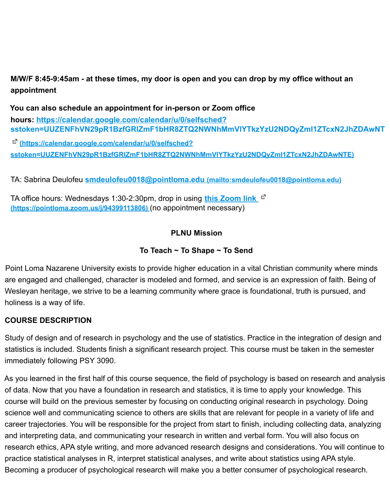M/W/F 8:45-9:45am - at these times, my door is open and you can drop by my office without an **appointment**

**You can also schedule an appointment for in-person or Zoom office hours: https://calendar.google.com/calendar/u/0/selfsched? sstoken=UUZENFhVN29pR1BzfGRlZmF1bHR8ZTQ2NWNhMmVlYTkzYzU2NDQyZmI1ZTcxN2JhZDAwNT**

**(https://calendar.google.com/calendar/u/0/selfsched? sstoken=UUZENFhVN29pR1BzfGRlZmF1bHR8ZTQ2NWNhMmVlYTkzYzU2NDQyZmI1ZTcxN2JhZDAwNTE)**

TA: Sabrina Deulofeu **smdeulofeu0018@pointloma.edu (mailto:smdeulofeu0018@pointloma.edu)**

TA office hours: Wednesdays 1:30-2:30pm, drop in using **this Zoom link (https://pointloma.zoom.us/j/94399113806)** (no appointment necessary)

# **PLNU Mission**

# **To Teach ~ To Shape ~ To Send**

Point Loma Nazarene University exists to provide higher education in a vital Christian community where minds are engaged and challenged, character is modeled and formed, and service is an expression of faith. Being of Wesleyan heritage, we strive to be a learning community where grace is foundational, truth is pursued, and holiness is a way of life.

# **COURSE DESCRIPTION**

Study of design and of research in psychology and the use of statistics. Practice in the integration of design and statistics is included. Students finish a significant research project. This course must be taken in the semester immediately following PSY 3090.

As you learned in the first half of this course sequence, the field of psychology is based on research and analysis of data. Now that you have a foundation in research and statistics, it is time to apply your knowledge. This course will build on the previous semester by focusing on conducting original research in psychology. Doing science well and communicating science to others are skills that are relevant for people in a variety of life and career trajectories. You will be responsible for the project from start to finish, including collecting data, analyzing and interpreting data, and communicating your research in written and verbal form. You will also focus on research ethics, APA style writing, and more advanced research designs and considerations. You will continue to practice statistical analyses in R, interpret statistical analyses, and write about statistics using APA style. Becoming a producer of psychological research will make you a better consumer of psychological research.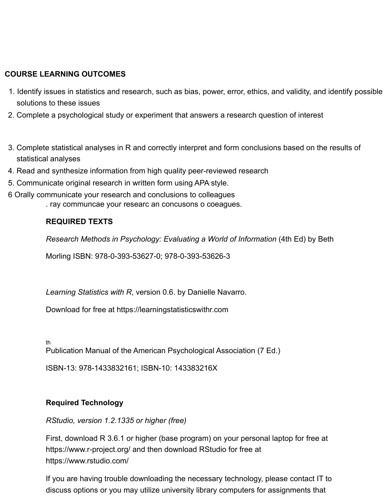# **COURSE LEARNING OUTCOMES**

- 1. Identify issues in statistics and research, such as bias, power, error, ethics, and validity, and identify possible solutions to these issues
- 2. Complete a psychological study or experiment that answers a research question of interest
- 3. Complete statistical analyses in R and correctly interpret and form conclusions based on the results of statistical analyses
- 4. Read and synthesize information from high quality peer-reviewed research
- 5. Communicate original research in written form using APA style.
- 6 Orally communicate your research and conclusions to colleagues
	- . ray communcae your researc an concusons o coeagues.

#### **REQUIRED TEXTS**

*Research Methods in Psychology: Evaluating a World of Information* (4th Ed) by Beth

Morling ISBN: 978-0-393-53627-0; 978-0-393-53626-3

*Learning Statistics with R*, version 0.6. by Danielle Navarro.

Download for free at https://learningstatisticswithr.com

th

Publication Manual of the American Psychological Association (7 Ed.)

ISBN-13: 978-1433832161; ISBN-10: 143383216X

#### **Required Technology**

#### *RStudio, version 1.2.1335 or higher (free)*

First, download R 3.6.1 or higher (base program) on your personal laptop for free at https://www.r-project.org/ and then download RStudio for free at https://www.rstudio.com/

If you are having trouble downloading the necessary technology, please contact IT to discuss options or you may utilize university library computers for assignments that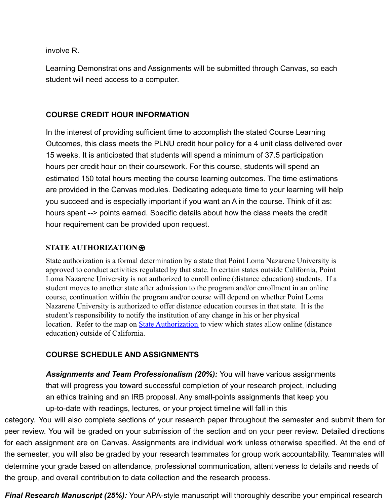involve R.

Learning Demonstrations and Assignments will be submitted through Canvas, so each student will need access to a computer.

#### **COURSE CREDIT HOUR INFORMATION**

In the interest of providing sufficient time to accomplish the stated Course Learning Outcomes, this class meets the PLNU credit hour policy for a 4 unit class delivered over 15 weeks. It is anticipated that students will spend a minimum of 37.5 participation hours per credit hour on their coursework. For this course, students will spend an estimated 150 total hours meeting the course learning outcomes. The time estimations are provided in the Canvas modules. Dedicating adequate time to your learning will help you succeed and is especially important if you want an A in the course. Think of it as: hours spent --> points earned. Specific details about how the class meets the credit hour requirement can be provided upon request.

#### **STATE AUTHORIZATION**⍟

State authorization is a formal determination by a state that Point Loma Nazarene University is approved to conduct activities regulated by that state. In certain states outside California, Point Loma Nazarene University is not authorized to enroll online (distance education) students. If a student moves to another state after admission to the program and/or enrollment in an online course, continuation within the program and/or course will depend on whether Point Loma Nazarene University is authorized to offer distance education courses in that state. It is the student's responsibility to notify the institution of any change in his or her physical location. Refer to the map on **[State Authorization](https://www.pointloma.edu/offices/office-institutional-effectiveness-research/disclosures)** to view which states allow online (distance education) outside of California.

# **COURSE SCHEDULE AND ASSIGNMENTS**

*Assignments and Team Professionalism (20%):* You will have various assignments that will progress you toward successful completion of your research project, including an ethics training and an IRB proposal. Any small-points assignments that keep you up-to-date with readings, lectures, or your project timeline will fall in this

category. You will also complete sections of your research paper throughout the semester and submit them for peer review. You will be graded on your submission of the section and on your peer review. Detailed directions for each assignment are on Canvas. Assignments are individual work unless otherwise specified. At the end of the semester, you will also be graded by your research teammates for group work accountability. Teammates will determine your grade based on attendance, professional communication, attentiveness to details and needs of the group, and overall contribution to data collection and the research process.

*Final Research Manuscript (25%):* Your APA-style manuscript will thoroughly describe your empirical research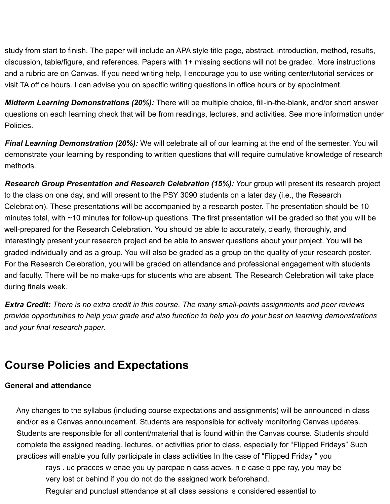study from start to finish. The paper will include an APA style title page, abstract, introduction, method, results, discussion, table/figure, and references. Papers with 1+ missing sections will not be graded. More instructions and a rubric are on Canvas. If you need writing help, I encourage you to use writing center/tutorial services or visit TA office hours. I can advise you on specific writing questions in office hours or by appointment.

*Midterm Learning Demonstrations (20%):* There will be multiple choice, fill-in-the-blank, and/or short answer questions on each learning check that will be from readings, lectures, and activities. See more information under Policies.

*Final Learning Demonstration (20%):* We will celebrate all of our learning at the end of the semester. You will demonstrate your learning by responding to written questions that will require cumulative knowledge of research methods.

*Research Group Presentation and Research Celebration (15%):* Your group will present its research project to the class on one day, and will present to the PSY 3090 students on a later day (i.e., the Research Celebration). These presentations will be accompanied by a research poster. The presentation should be 10 minutes total, with ~10 minutes for follow-up questions. The first presentation will be graded so that you will be well-prepared for the Research Celebration. You should be able to accurately, clearly, thoroughly, and interestingly present your research project and be able to answer questions about your project. You will be graded individually and as a group. You will also be graded as a group on the quality of your research poster. For the Research Celebration, you will be graded on attendance and professional engagement with students and faculty. There will be no make-ups for students who are absent. The Research Celebration will take place during finals week.

*Extra Credit: There is no extra credit in this course. The many small-points assignments and peer reviews* provide opportunities to help your grade and also function to help you do your best on learning demonstrations *and your final research paper.*

# **Course Policies and Expectations**

#### **General and attendance**

Any changes to the syllabus (including course expectations and assignments) will be announced in class and/or as a Canvas announcement. Students are responsible for actively monitoring Canvas updates. Students are responsible for all content/material that is found within the Canvas course. Students should complete the assigned reading, lectures, or activities prior to class, especially for "Flipped Fridays" Such practices will enable you fully participate in class activities In the case of "Flipped Friday " you

rays . uc pracces w enae you uy parcpae n cass acves. n e case o ppe ray, you may be very lost or behind if you do not do the assigned work beforehand.

Regular and punctual attendance at all class sessions is considered essential to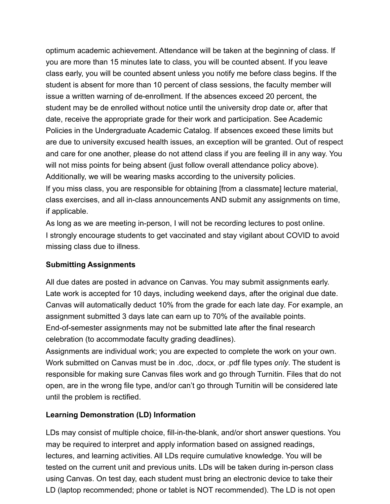optimum academic achievement. Attendance will be taken at the beginning of class. If you are more than 15 minutes late to class, you will be counted absent. If you leave class early, you will be counted absent unless you notify me before class begins. If the student is absent for more than 10 percent of class sessions, the faculty member will issue a written warning of de-enrollment. If the absences exceed 20 percent, the student may be de enrolled without notice until the university drop date or, after that date, receive the appropriate grade for their work and participation. See Academic Policies in the Undergraduate Academic Catalog. If absences exceed these limits but are due to university excused health issues, an exception will be granted. Out of respect and care for one another, please do not attend class if you are feeling ill in any way. You will not miss points for being absent (just follow overall attendance policy above). Additionally, we will be wearing masks according to the university policies.

If you miss class, you are responsible for obtaining [from a classmate] lecture material, class exercises, and all in-class announcements AND submit any assignments on time, if applicable.

As long as we are meeting in-person, I will not be recording lectures to post online. I strongly encourage students to get vaccinated and stay vigilant about COVID to avoid missing class due to illness.

#### **Submitting Assignments**

All due dates are posted in advance on Canvas. You may submit assignments early. Late work is accepted for 10 days, including weekend days, after the original due date. Canvas will automatically deduct 10% from the grade for each late day. For example, an assignment submitted 3 days late can earn up to 70% of the available points. End-of-semester assignments may not be submitted late after the final research celebration (to accommodate faculty grading deadlines).

Assignments are individual work; you are expected to complete the work on your own. Work submitted on Canvas must be in .doc, .docx, or .pdf file types *only*. The student is responsible for making sure Canvas files work and go through Turnitin. Files that do not open, are in the wrong file type, and/or can't go through Turnitin will be considered late until the problem is rectified.

# **Learning Demonstration (LD) Information**

LDs may consist of multiple choice, fill-in-the-blank, and/or short answer questions. You may be required to interpret and apply information based on assigned readings, lectures, and learning activities. All LDs require cumulative knowledge. You will be tested on the current unit and previous units. LDs will be taken during in-person class using Canvas. On test day, each student must bring an electronic device to take their LD (laptop recommended; phone or tablet is NOT recommended). The LD is not open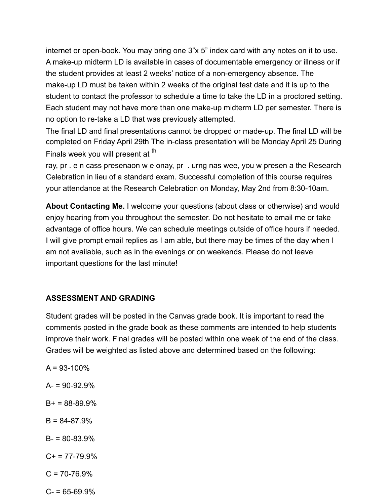internet or open-book. You may bring one 3"x 5" index card with any notes on it to use. A make-up midterm LD is available in cases of documentable emergency or illness or if the student provides at least 2 weeks' notice of a non-emergency absence. The make-up LD must be taken within 2 weeks of the original test date and it is up to the student to contact the professor to schedule a time to take the LD in a proctored setting. Each student may not have more than one make-up midterm LD per semester. There is no option to re-take a LD that was previously attempted.

The final LD and final presentations cannot be dropped or made-up. The final LD will be completed on Friday April 29th The in-class presentation will be Monday April 25 During Finals week you will present at <sup>th</sup>

ray, pr . e n cass presenaon w e onay, pr . urng nas wee, you w presen a the Research Celebration in lieu of a standard exam. Successful completion of this course requires your attendance at the Research Celebration on Monday, May 2nd from 8:30-10am.

**About Contacting Me.** I welcome your questions (about class or otherwise) and would enjoy hearing from you throughout the semester. Do not hesitate to email me or take advantage of office hours. We can schedule meetings outside of office hours if needed. I will give prompt email replies as I am able, but there may be times of the day when I am not available, such as in the evenings or on weekends. Please do not leave important questions for the last minute!

#### **ASSESSMENT AND GRADING**

Student grades will be posted in the Canvas grade book. It is important to read the comments posted in the grade book as these comments are intended to help students improve their work. Final grades will be posted within one week of the end of the class. Grades will be weighted as listed above and determined based on the following:

- $A = 93 100\%$  $A = 90 - 92.9%$  $B+ = 88-89.9%$  $B = 84 - 87.9%$  $B - 80 - 83.9%$  $C_{+}$  = 77-79.9%  $C = 70 - 76.9\%$
- $C = 65 69.9%$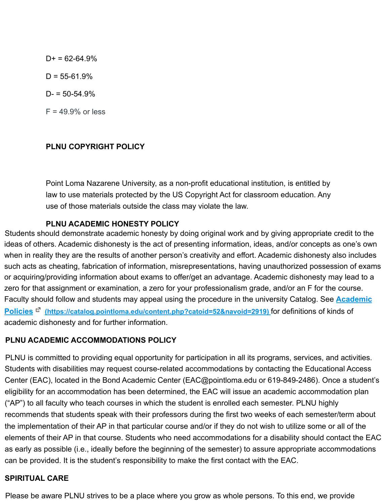$D+ = 62-64.9%$  $D = 55-61.9%$  $D = 50 - 54.9%$  $F = 49.9%$  or less

#### **PLNU COPYRIGHT POLICY**

Point Loma Nazarene University, as a non-profit educational institution, is entitled by law to use materials protected by the US Copyright Act for classroom education. Any use of those materials outside the class may violate the law.

#### **PLNU ACADEMIC HONESTY POLICY**

Students should demonstrate academic honesty by doing original work and by giving appropriate credit to the ideas of others. Academic dishonesty is the act of presenting information, ideas, and/or concepts as one's own when in reality they are the results of another person's creativity and effort. Academic dishonesty also includes such acts as cheating, fabrication of information, misrepresentations, having unauthorized possession of exams or acquiring/providing information about exams to offer/get an advantage. Academic dishonesty may lead to a zero for that assignment or examination, a zero for your professionalism grade, and/or an F for the course. Faculty should follow and students may appeal using the procedure in the university Catalog. See **Academic Policies (https://catalog.pointloma.edu/content.php?catoid=52&navoid=2919)** for definitions of kinds of academic dishonesty and for further information.

# **PLNU ACADEMIC ACCOMMODATIONS POLICY**

PLNU is committed to providing equal opportunity for participation in all its programs, services, and activities. Students with disabilities may request course-related accommodations by contacting the Educational Access Center (EAC), located in the Bond Academic Center (EAC@pointloma.edu or 619-849-2486). Once a student's eligibility for an accommodation has been determined, the EAC will issue an academic accommodation plan ("AP") to all faculty who teach courses in which the student is enrolled each semester. PLNU highly recommends that students speak with their professors during the first two weeks of each semester/term about the implementation of their AP in that particular course and/or if they do not wish to utilize some or all of the elements of their AP in that course. Students who need accommodations for a disability should contact the EAC as early as possible (i.e., ideally before the beginning of the semester) to assure appropriate accommodations can be provided. It is the student's responsibility to make the first contact with the EAC.

#### **SPIRITUAL CARE**

Please be aware PLNU strives to be a place where you grow as whole persons. To this end, we provide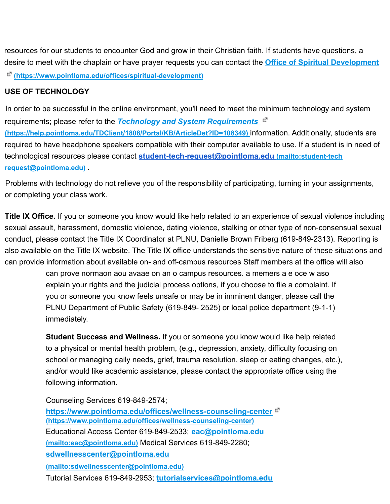resources for our students to encounter God and grow in their Christian faith. If students have questions, a desire to meet with the chaplain or have prayer requests you can contact the **Office of Spiritual Development**

**(https://www.pointloma.edu/offices/spiritual-development)**

# **USE OF TECHNOLOGY**

In order to be successful in the online environment, you'll need to meet the minimum technology and system requirements; please refer to the *Technology and System Requirements* **(https://help.pointloma.edu/TDClient/1808/Portal/KB/ArticleDet?ID=108349)** information. Additionally, students are required to have headphone speakers compatible with their computer available to use. If a student is in need of technological resources please contact **student-tech-request@pointloma.edu (mailto:student-tech request@pointloma.edu)** .

Problems with technology do not relieve you of the responsibility of participating, turning in your assignments, or completing your class work.

**Title IX Office.** If you or someone you know would like help related to an experience of sexual violence including sexual assault, harassment, domestic violence, dating violence, stalking or other type of non-consensual sexual conduct, please contact the Title IX Coordinator at PLNU, Danielle Brown Friberg (619-849-2313). Reporting is also available on the Title IX website. The Title IX office understands the sensitive nature of these situations and can provide information about available on- and off-campus resources Staff members at the office will also

> can prove normaon aou avaae on an o campus resources. a memers a e oce w aso explain your rights and the judicial process options, if you choose to file a complaint. If you or someone you know feels unsafe or may be in imminent danger, please call the PLNU Department of Public Safety (619-849- 2525) or local police department (9-1-1) immediately.

**Student Success and Wellness.** If you or someone you know would like help related to a physical or mental health problem, (e.g., depression, anxiety, difficulty focusing on school or managing daily needs, grief, trauma resolution, sleep or eating changes, etc.), and/or would like academic assistance, please contact the appropriate office using the following information.

Counseling Services 619-849-2574;

**https://www.pointloma.edu/offices/wellness-counseling-center (https://www.pointloma.edu/offices/wellness-counseling-center)** Educational Access Center 619-849-2533; **eac@pointloma.edu (mailto:eac@pointloma.edu)** Medical Services 619-849-2280; **sdwellnesscenter@pointloma.edu**

**(mailto:sdwellnesscenter@pointloma.edu)**

Tutorial Services 619-849-2953; **tutorialservices@pointloma.edu**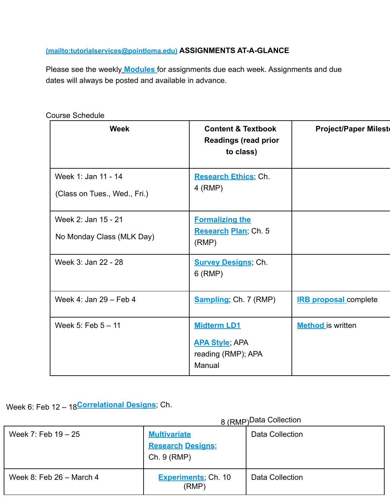# **(mailto:tutorialservices@pointloma.edu) ASSIGNMENTS AT-A-GLANCE**

Please see the weekly **Modules** for assignments due each week. Assignments and due dates will always be posted and available in advance.

| <b>Week</b>                                         | <b>Content &amp; Textbook</b><br><b>Readings (read prior</b><br>to class)   | <b>Project/Paper Milest</b>  |
|-----------------------------------------------------|-----------------------------------------------------------------------------|------------------------------|
| Week 1: Jan 11 - 14<br>(Class on Tues., Wed., Fri.) | <b>Research Ethics</b> , Ch.<br>4 (RMP)                                     |                              |
| Week 2: Jan 15 - 21<br>No Monday Class (MLK Day)    | <b>Formalizing the</b><br>Research Plan; Ch. 5<br>(RMP)                     |                              |
| Week 3: Jan 22 - 28                                 | <b>Survey Designs, Ch.</b><br>$6$ (RMP)                                     |                              |
| Week 4: Jan 29 - Feb 4                              | <b>Sampling</b> ; Ch. 7 (RMP)                                               | <b>IRB proposal complete</b> |
| Week 5: Feb 5 - 11                                  | <b>Midterm LD1</b><br><b>APA Style, APA</b><br>reading (RMP); APA<br>Manual | <b>Method</b> is written     |

Course Schedule

Week 6: Feb 12 – 18**Correlational Designs**; Ch.

8 (RMP)Data Collection

| Week 7: Feb $19 - 25$      | <b>Multivariate</b><br><b>Research Designs,</b><br>Ch. 9 (RMP) | Data Collection |
|----------------------------|----------------------------------------------------------------|-----------------|
| Week 8: Feb $26$ – March 4 | <b>Experiments</b> ; Ch. 10<br>(RMP)                           | Data Collection |